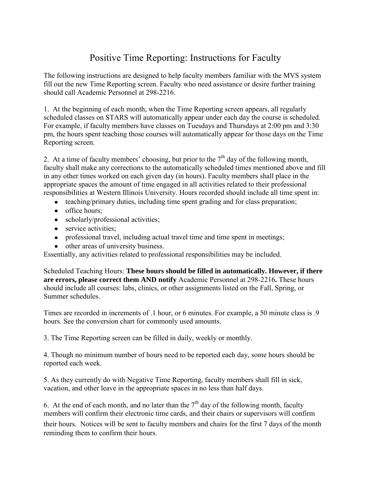## Positive Time Reporting: Instructions for Faculty

The following instructions are designed to help faculty members familiar with the MVS system fill out the new Time Reporting screen. Faculty who need assistance or desire further training should call Academic Personnel at 298-2216.

1. At the beginning of each month, when the Time Reporting screen appears, all regularly scheduled classes on STARS will automatically appear under each day the course is scheduled. For example, if faculty members have classes on Tuesdays and Thursdays at 2:00 pm and 3:30 pm, the hours spent teaching those courses will automatically appear for those days on the Time Reporting screen.

2. At a time of faculty members' choosing, but prior to the  $7<sup>th</sup>$  day of the following month, faculty shall make any corrections to the automatically scheduled times mentioned above and fill in any other times worked on each given day (in hours). Faculty members shall place in the appropriate spaces the amount of time engaged in all activities related to their professional responsibilities at Western Illinois University. Hours recorded should include all time spent in:

- teaching/primary duties, including time spent grading and for class preparation;
- office hours;
- scholarly/professional activities;
- service activities;
- professional travel, including actual travel time and time spent in meetings;
- other areas of university business.

Essentially, any activities related to professional responsibilities may be included.

Scheduled Teaching Hours: **These hours should be filled in automatically. However, if there are errors, please correct them AND notify** Academic Personnel at 298-2216**.** These hours should include all courses: labs, clinics, or other assignments listed on the Fall, Spring, or Summer schedules.

Times are recorded in increments of .1 hour, or 6 minutes. For example, a 50 minute class is .9 hours. See the conversion chart for commonly used amounts.

3. The Time Reporting screen can be filled in daily, weekly or monthly.

4. Though no minimum number of hours need to be reported each day, some hours should be reported each week.

5. As they currently do with Negative Time Reporting, faculty members shall fill in sick, vacation, and other leave in the appropriate spaces in no less than half days.

6. At the end of each month, and no later than the  $7<sup>th</sup>$  day of the following month, faculty members will confirm their electronic time cards, and their chairs or supervisors will confirm their hours. Notices will be sent to faculty members and chairs for the first 7 days of the month reminding them to confirm their hours.